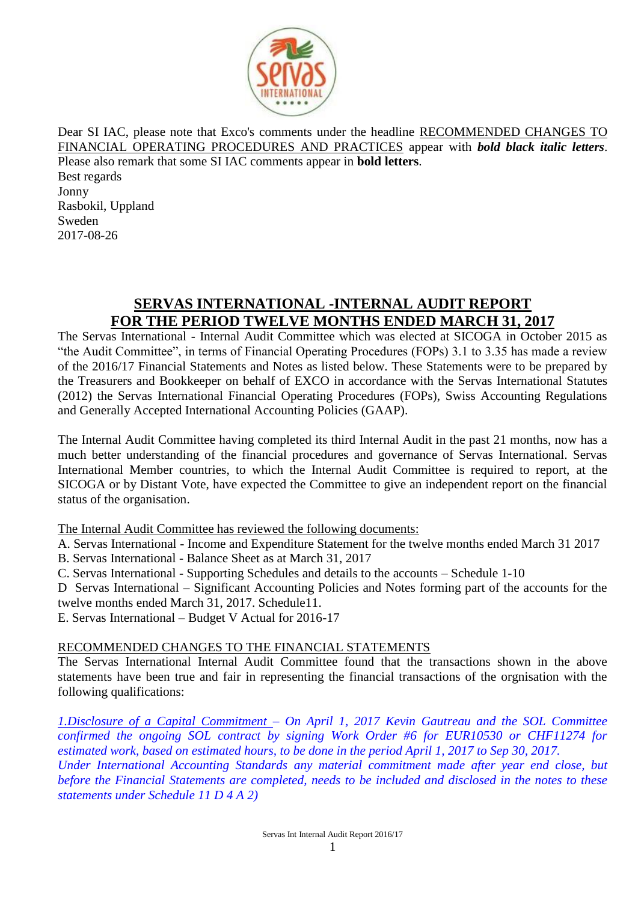

Dear SI IAC, please note that Exco's comments under the headline RECOMMENDED CHANGES TO FINANCIAL OPERATING PROCEDURES AND PRACTICES appear with *bold black italic letters*. Please also remark that some SI IAC comments appear in **bold letters**. Best regards Jonny Rasbokil, Uppland Sweden 2017-08-26

# **SERVAS INTERNATIONAL -INTERNAL AUDIT REPORT FOR THE PERIOD TWELVE MONTHS ENDED MARCH 31, 2017**

The Servas International - Internal Audit Committee which was elected at SICOGA in October 2015 as "the Audit Committee", in terms of Financial Operating Procedures (FOPs) 3.1 to 3.35 has made a review of the 2016/17 Financial Statements and Notes as listed below. These Statements were to be prepared by the Treasurers and Bookkeeper on behalf of EXCO in accordance with the Servas International Statutes (2012) the Servas International Financial Operating Procedures (FOPs), Swiss Accounting Regulations and Generally Accepted International Accounting Policies (GAAP).

The Internal Audit Committee having completed its third Internal Audit in the past 21 months, now has a much better understanding of the financial procedures and governance of Servas International. Servas International Member countries, to which the Internal Audit Committee is required to report, at the SICOGA or by Distant Vote, have expected the Committee to give an independent report on the financial status of the organisation.

The Internal Audit Committee has reviewed the following documents:

A. Servas International - Income and Expenditure Statement for the twelve months ended March 31 2017

B. Servas International - Balance Sheet as at March 31, 2017

C. Servas International - Supporting Schedules and details to the accounts – Schedule 1-10

D Servas International – Significant Accounting Policies and Notes forming part of the accounts for the twelve months ended March 31, 2017. Schedule11.

E. Servas International – Budget V Actual for 2016-17

# RECOMMENDED CHANGES TO THE FINANCIAL STATEMENTS

The Servas International Internal Audit Committee found that the transactions shown in the above statements have been true and fair in representing the financial transactions of the orgnisation with the following qualifications:

*1.Disclosure of a Capital Commitment – On April 1, 2017 Kevin Gautreau and the SOL Committee confirmed the ongoing SOL contract by signing Work Order #6 for EUR10530 or CHF11274 for estimated work, based on estimated hours, to be done in the period April 1, 2017 to Sep 30, 2017. Under International Accounting Standards any material commitment made after year end close, but before the Financial Statements are completed, needs to be included and disclosed in the notes to these statements under Schedule 11 D 4 A 2)*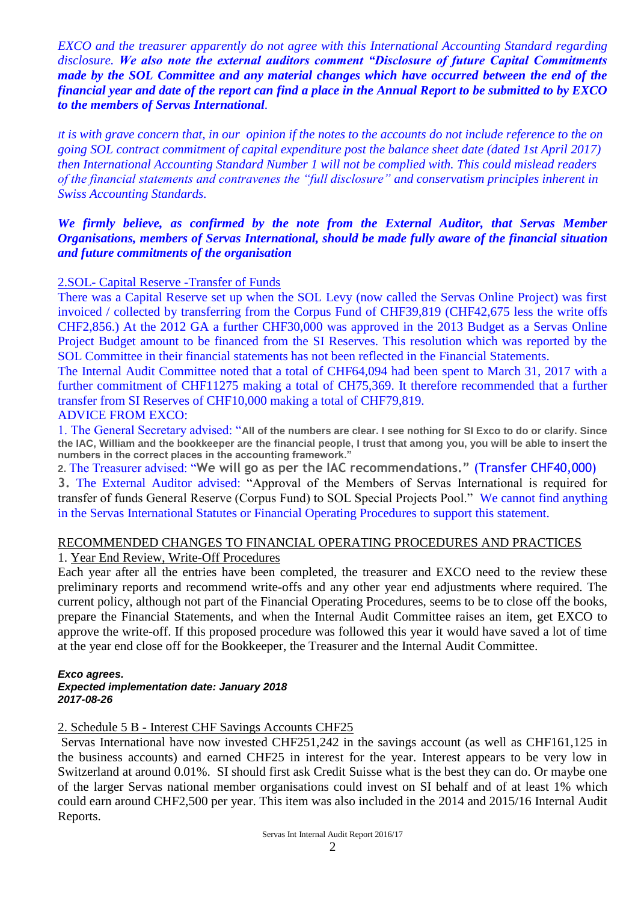*EXCO and the treasurer apparently do not agree with this International Accounting Standard regarding disclosure. We also note the external auditors comment "Disclosure of future Capital Commitments made by the SOL Committee and any material changes which have occurred between the end of the financial year and date of the report can find a place in the Annual Report to be submitted to by EXCO to the members of Servas International.* 

*It is with grave concern that, in our opinion if the notes to the accounts do not include reference to the on going SOL contract commitment of capital expenditure post the balance sheet date (dated 1st April 2017) then International Accounting Standard Number 1 will not be complied with. This could mislead readers of the financial statements and contravenes the "full disclosure" and conservatism principles inherent in Swiss Accounting Standards.*

# *We firmly believe, as confirmed by the note from the External Auditor, that Servas Member Organisations, members of Servas International, should be made fully aware of the financial situation and future commitments of the organisation*

# 2.SOL- Capital Reserve -Transfer of Funds

There was a Capital Reserve set up when the SOL Levy (now called the Servas Online Project) was first invoiced / collected by transferring from the Corpus Fund of CHF39,819 (CHF42,675 less the write offs CHF2,856.) At the 2012 GA a further CHF30,000 was approved in the 2013 Budget as a Servas Online Project Budget amount to be financed from the SI Reserves. This resolution which was reported by the SOL Committee in their financial statements has not been reflected in the Financial Statements.

The Internal Audit Committee noted that a total of CHF64,094 had been spent to March 31, 2017 with a further commitment of CHF11275 making a total of CH75,369. It therefore recommended that a further transfer from SI Reserves of CHF10,000 making a total of CHF79,819.

# ADVICE FROM EXCO:

1. The General Secretary advised: "**All of the numbers are clear. I see nothing for SI Exco to do or clarify. Since the IAC, William and the bookkeeper are the financial people, I trust that among you, you will be able to insert the numbers in the correct places in the accounting framework."**

**2.** The Treasurer advised: "**We will go as per the IAC recommendations."** (Transfer CHF40,000) **3.** The External Auditor advised: "Approval of the Members of Servas International is required for transfer of funds General Reserve (Corpus Fund) to SOL Special Projects Pool." We cannot find anything in the Servas International Statutes or Financial Operating Procedures to support this statement.

#### RECOMMENDED CHANGES TO FINANCIAL OPERATING PROCEDURES AND PRACTICES 1. Year End Review, Write-Off Procedures

Each year after all the entries have been completed, the treasurer and EXCO need to the review these preliminary reports and recommend write-offs and any other year end adjustments where required. The current policy, although not part of the Financial Operating Procedures, seems to be to close off the books, prepare the Financial Statements, and when the Internal Audit Committee raises an item, get EXCO to approve the write-off. If this proposed procedure was followed this year it would have saved a lot of time at the year end close off for the Bookkeeper, the Treasurer and the Internal Audit Committee.

# *Exco agrees.*

#### *Expected implementation date: January 2018 2017-08-26*

2. Schedule 5 B - Interest CHF Savings Accounts CHF25

Servas International have now invested CHF251,242 in the savings account (as well as CHF161,125 in the business accounts) and earned CHF25 in interest for the year. Interest appears to be very low in Switzerland at around 0.01%. SI should first ask Credit Suisse what is the best they can do. Or maybe one of the larger Servas national member organisations could invest on SI behalf and of at least 1% which could earn around CHF2,500 per year. This item was also included in the 2014 and 2015/16 Internal Audit Reports.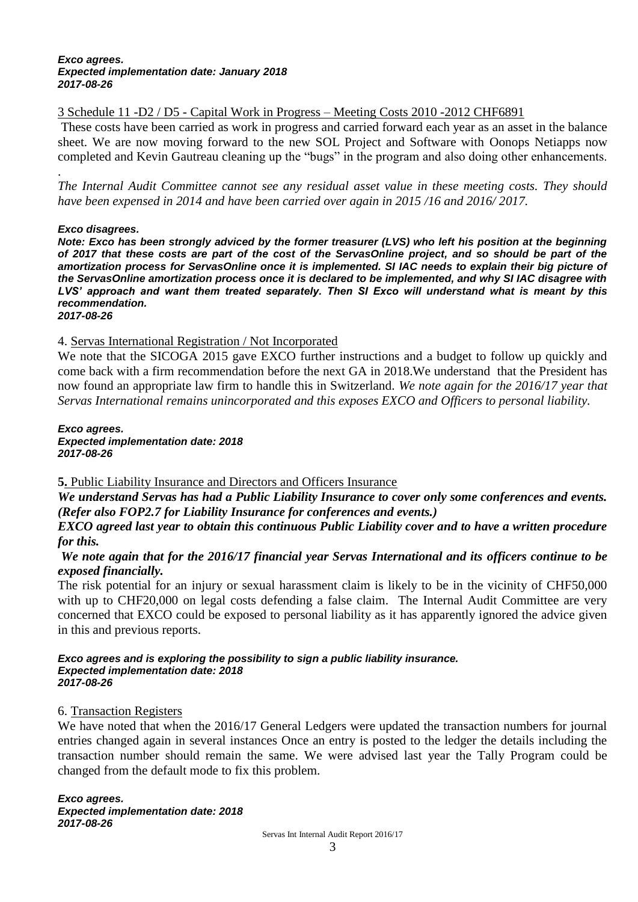#### *Exco agrees. Expected implementation date: January 2018 2017-08-26*

3 Schedule 11 -D2 / D5 - Capital Work in Progress – Meeting Costs 2010 -2012 CHF6891

These costs have been carried as work in progress and carried forward each year as an asset in the balance sheet. We are now moving forward to the new SOL Project and Software with Oonops Netiapps now completed and Kevin Gautreau cleaning up the "bugs" in the program and also doing other enhancements.

. *The Internal Audit Committee cannot see any residual asset value in these meeting costs. They should have been expensed in 2014 and have been carried over again in 2015 /16 and 2016/ 2017.* 

# *Exco disagrees.*

*Note: Exco has been strongly adviced by the former treasurer (LVS) who left his position at the beginning of 2017 that these costs are part of the cost of the ServasOnline project, and so should be part of the amortization process for ServasOnline once it is implemented. SI IAC needs to explain their big picture of the ServasOnline amortization process once it is declared to be implemented, and why SI IAC disagree with LVS' approach and want them treated separately. Then SI Exco will understand what is meant by this recommendation. 2017-08-26*

# 4. Servas International Registration / Not Incorporated

We note that the SICOGA 2015 gave EXCO further instructions and a budget to follow up quickly and come back with a firm recommendation before the next GA in 2018.We understand that the President has now found an appropriate law firm to handle this in Switzerland. *We note again for the 2016/17 year that Servas International remains unincorporated and this exposes EXCO and Officers to personal liability.* 

*Exco agrees. Expected implementation date: 2018 2017-08-26*

# **5.** Public Liability Insurance and Directors and Officers Insurance

*We understand Servas has had a Public Liability Insurance to cover only some conferences and events. (Refer also FOP2.7 for Liability Insurance for conferences and events.)* 

*EXCO agreed last year to obtain this continuous Public Liability cover and to have a written procedure for this.*

# *We note again that for the 2016/17 financial year Servas International and its officers continue to be exposed financially.*

The risk potential for an injury or sexual harassment claim is likely to be in the vicinity of CHF50,000 with up to CHF20,000 on legal costs defending a false claim. The Internal Audit Committee are very concerned that EXCO could be exposed to personal liability as it has apparently ignored the advice given in this and previous reports.

#### *Exco agrees and is exploring the possibility to sign a public liability insurance. Expected implementation date: 2018 2017-08-26*

# 6. Transaction Registers

We have noted that when the 2016/17 General Ledgers were updated the transaction numbers for journal entries changed again in several instances Once an entry is posted to the ledger the details including the transaction number should remain the same. We were advised last year the Tally Program could be changed from the default mode to fix this problem.

*Exco agrees.*

*Expected implementation date: 2018 2017-08-26*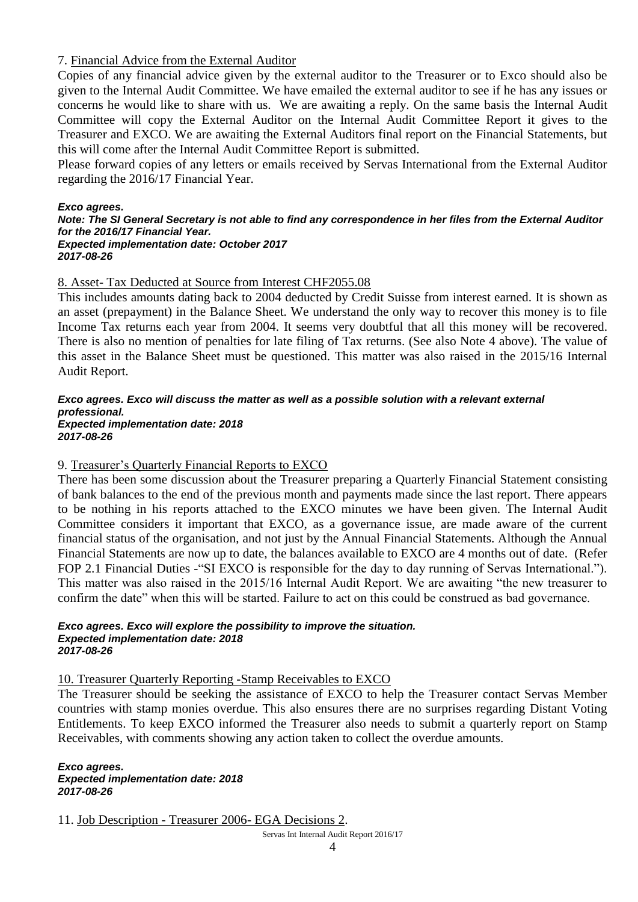# 7. Financial Advice from the External Auditor

Copies of any financial advice given by the external auditor to the Treasurer or to Exco should also be given to the Internal Audit Committee. We have emailed the external auditor to see if he has any issues or concerns he would like to share with us. We are awaiting a reply. On the same basis the Internal Audit Committee will copy the External Auditor on the Internal Audit Committee Report it gives to the Treasurer and EXCO. We are awaiting the External Auditors final report on the Financial Statements, but this will come after the Internal Audit Committee Report is submitted.

Please forward copies of any letters or emails received by Servas International from the External Auditor regarding the 2016/17 Financial Year.

#### *Exco agrees.*

#### *Note: The SI General Secretary is not able to find any correspondence in her files from the External Auditor for the 2016/17 Financial Year. Expected implementation date: October 2017*

*2017-08-26*

# 8. Asset- Tax Deducted at Source from Interest CHF2055.08

This includes amounts dating back to 2004 deducted by Credit Suisse from interest earned. It is shown as an asset (prepayment) in the Balance Sheet. We understand the only way to recover this money is to file Income Tax returns each year from 2004. It seems very doubtful that all this money will be recovered. There is also no mention of penalties for late filing of Tax returns. (See also Note 4 above). The value of this asset in the Balance Sheet must be questioned. This matter was also raised in the 2015/16 Internal Audit Report.

#### *Exco agrees. Exco will discuss the matter as well as a possible solution with a relevant external professional. Expected implementation date: 2018 2017-08-26*

# 9. Treasurer's Quarterly Financial Reports to EXCO

There has been some discussion about the Treasurer preparing a Quarterly Financial Statement consisting of bank balances to the end of the previous month and payments made since the last report. There appears to be nothing in his reports attached to the EXCO minutes we have been given. The Internal Audit Committee considers it important that EXCO, as a governance issue, are made aware of the current financial status of the organisation, and not just by the Annual Financial Statements. Although the Annual Financial Statements are now up to date, the balances available to EXCO are 4 months out of date. (Refer FOP 2.1 Financial Duties -"SI EXCO is responsible for the day to day running of Servas International."). This matter was also raised in the 2015/16 Internal Audit Report. We are awaiting "the new treasurer to confirm the date" when this will be started. Failure to act on this could be construed as bad governance.

#### *Exco agrees. Exco will explore the possibility to improve the situation. Expected implementation date: 2018 2017-08-26*

# 10. Treasurer Quarterly Reporting -Stamp Receivables to EXCO

The Treasurer should be seeking the assistance of EXCO to help the Treasurer contact Servas Member countries with stamp monies overdue. This also ensures there are no surprises regarding Distant Voting Entitlements. To keep EXCO informed the Treasurer also needs to submit a quarterly report on Stamp Receivables, with comments showing any action taken to collect the overdue amounts.

#### *Exco agrees. Expected implementation date: 2018 2017-08-26*

11. Job Description - Treasurer 2006- EGA Decisions 2.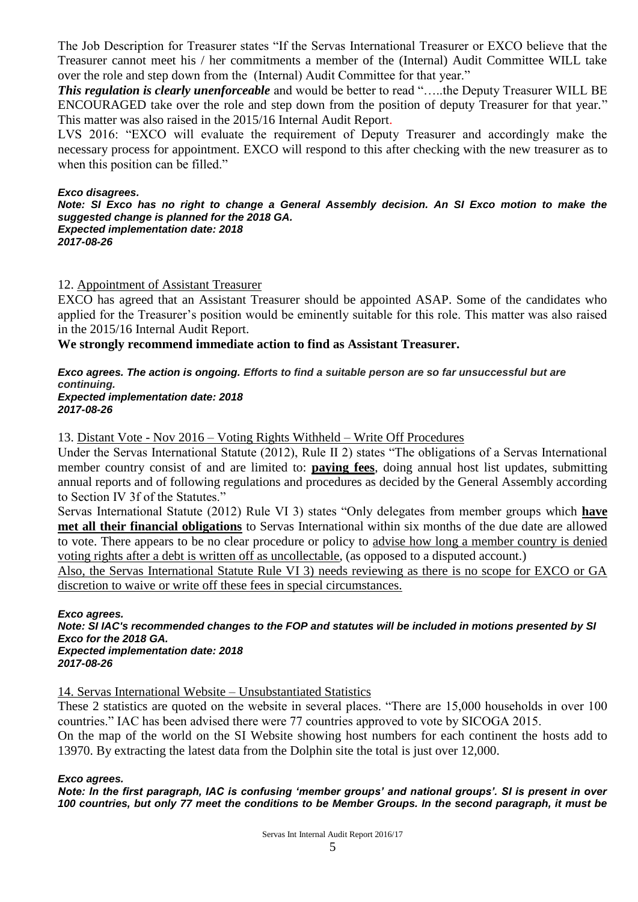The Job Description for Treasurer states "If the Servas International Treasurer or EXCO believe that the Treasurer cannot meet his / her commitments a member of the (Internal) Audit Committee WILL take over the role and step down from the (Internal) Audit Committee for that year."

*This regulation is clearly unenforceable* and would be better to read "…..the Deputy Treasurer WILL BE ENCOURAGED take over the role and step down from the position of deputy Treasurer for that year." This matter was also raised in the 2015/16 Internal Audit Report.

LVS 2016: "EXCO will evaluate the requirement of Deputy Treasurer and accordingly make the necessary process for appointment. EXCO will respond to this after checking with the new treasurer as to when this position can be filled."

#### *Exco disagrees.*

*Note: SI Exco has no right to change a General Assembly decision. An SI Exco motion to make the suggested change is planned for the 2018 GA. Expected implementation date: 2018*

*2017-08-26*

# 12. Appointment of Assistant Treasurer

EXCO has agreed that an Assistant Treasurer should be appointed ASAP. Some of the candidates who applied for the Treasurer's position would be eminently suitable for this role. This matter was also raised in the 2015/16 Internal Audit Report.

**We strongly recommend immediate action to find as Assistant Treasurer.**

# *Exco agrees. The action is ongoing. Efforts to find a suitable person are so far unsuccessful but are continuing.*

*Expected implementation date: 2018 2017-08-26*

13. Distant Vote - Nov 2016 – Voting Rights Withheld – Write Off Procedures

Under the Servas International Statute (2012), Rule II 2) states "The obligations of a Servas International member country consist of and are limited to: **paying fees**, doing annual host list updates, submitting annual reports and of following regulations and procedures as decided by the General Assembly according to Section IV 3f of the Statutes."

Servas International Statute (2012) Rule VI 3) states "Only delegates from member groups which **have met all their financial obligations** to Servas International within six months of the due date are allowed to vote. There appears to be no clear procedure or policy to advise how long a member country is denied voting rights after a debt is written off as uncollectable, (as opposed to a disputed account.)

Also, the Servas International Statute Rule VI 3) needs reviewing as there is no scope for EXCO or GA discretion to waive or write off these fees in special circumstances.

*Exco agrees.* 

*Note: SI IAC's recommended changes to the FOP and statutes will be included in motions presented by SI Exco for the 2018 GA. Expected implementation date: 2018*

*2017-08-26*

14. Servas International Website – Unsubstantiated Statistics

These 2 statistics are quoted on the website in several places. "There are 15,000 households in over 100 countries." IAC has been advised there were 77 countries approved to vote by SICOGA 2015.

On the map of the world on the SI Website showing host numbers for each continent the hosts add to 13970. By extracting the latest data from the Dolphin site the total is just over 12,000.

#### *Exco agrees.*

*Note: In the first paragraph, IAC is confusing 'member groups' and national groups'. SI is present in over 100 countries, but only 77 meet the conditions to be Member Groups. In the second paragraph, it must be*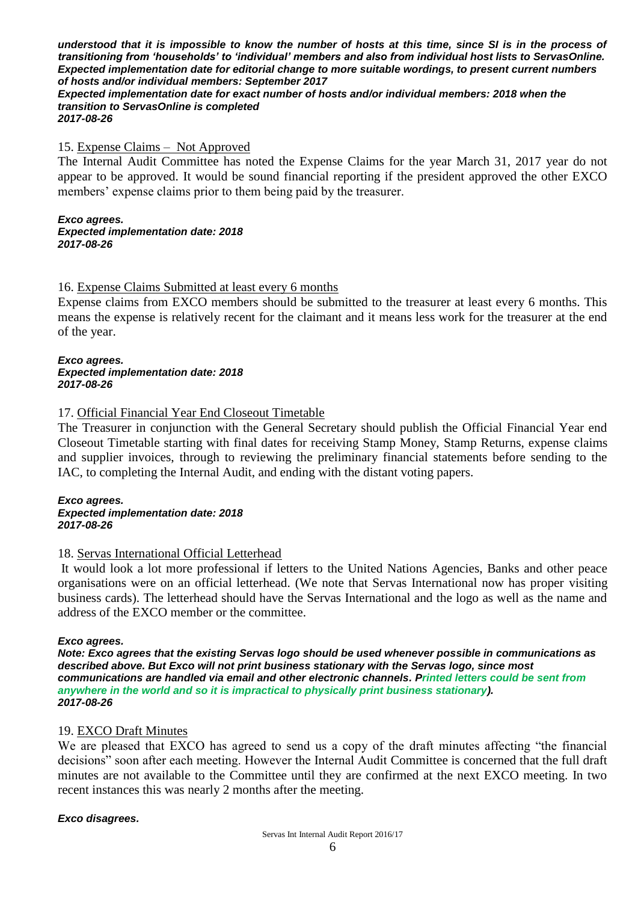*understood that it is impossible to know the number of hosts at this time, since SI is in the process of transitioning from 'households' to 'individual' members and also from individual host lists to ServasOnline. Expected implementation date for editorial change to more suitable wordings, to present current numbers of hosts and/or individual members: September 2017*

#### *Expected implementation date for exact number of hosts and/or individual members: 2018 when the transition to ServasOnline is completed 2017-08-26*

#### 15. Expense Claims – Not Approved

The Internal Audit Committee has noted the Expense Claims for the year March 31, 2017 year do not appear to be approved. It would be sound financial reporting if the president approved the other EXCO members' expense claims prior to them being paid by the treasurer.

#### *Exco agrees.*

*Expected implementation date: 2018 2017-08-26*

# 16. Expense Claims Submitted at least every 6 months

Expense claims from EXCO members should be submitted to the treasurer at least every 6 months. This means the expense is relatively recent for the claimant and it means less work for the treasurer at the end of the year.

#### *Exco agrees. Expected implementation date: 2018 2017-08-26*

# 17. Official Financial Year End Closeout Timetable

The Treasurer in conjunction with the General Secretary should publish the Official Financial Year end Closeout Timetable starting with final dates for receiving Stamp Money, Stamp Returns, expense claims and supplier invoices, through to reviewing the preliminary financial statements before sending to the IAC, to completing the Internal Audit, and ending with the distant voting papers.

#### *Exco agrees. Expected implementation date: 2018 2017-08-26*

# 18. Servas International Official Letterhead

It would look a lot more professional if letters to the United Nations Agencies, Banks and other peace organisations were on an official letterhead. (We note that Servas International now has proper visiting business cards). The letterhead should have the Servas International and the logo as well as the name and address of the EXCO member or the committee.

#### *Exco agrees.*

*Note: Exco agrees that the existing Servas logo should be used whenever possible in communications as described above. But Exco will not print business stationary with the Servas logo, since most communications are handled via email and other electronic channels. Printed letters could be sent from anywhere in the world and so it is impractical to physically print business stationary). 2017-08-26*

#### 19. EXCO Draft Minutes

We are pleased that EXCO has agreed to send us a copy of the draft minutes affecting "the financial decisions" soon after each meeting. However the Internal Audit Committee is concerned that the full draft minutes are not available to the Committee until they are confirmed at the next EXCO meeting. In two recent instances this was nearly 2 months after the meeting.

#### *Exco disagrees.*